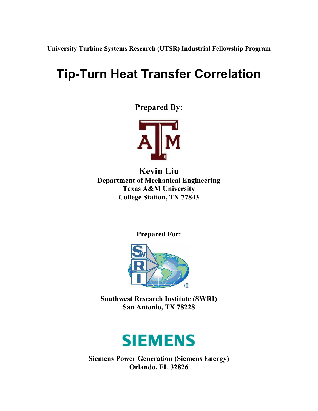**University Turbine Systems Research (UTSR) Industrial Fellowship Program**

# **Tip-Turn Heat Transfer Correlation**

**Prepared By:** 



**Kevin Liu Department of Mechanical Engineering Texas A&M University College Station, TX 77843** 

**Prepared For:** 



**Southwest Research Institute (SWRI) San Antonio, TX 78228** 



**Siemens Power Generation (Siemens Energy) Orlando, FL 32826**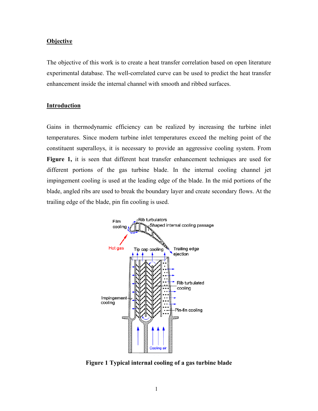#### **Objective**

The objective of this work is to create a heat transfer correlation based on open literature experimental database. The well-correlated curve can be used to predict the heat transfer enhancement inside the internal channel with smooth and ribbed surfaces.

#### **Introduction**

Gains in thermodynamic efficiency can be realized by increasing the turbine inlet temperatures. Since modern turbine inlet temperatures exceed the melting point of the constituent superalloys, it is necessary to provide an aggressive cooling system. From **Figure 1,** it is seen that different heat transfer enhancement techniques are used for different portions of the gas turbine blade. In the internal cooling channel jet impingement cooling is used at the leading edge of the blade. In the mid portions of the blade, angled ribs are used to break the boundary layer and create secondary flows. At the trailing edge of the blade, pin fin cooling is used.



**Figure 1 Typical internal cooling of a gas turbine blade**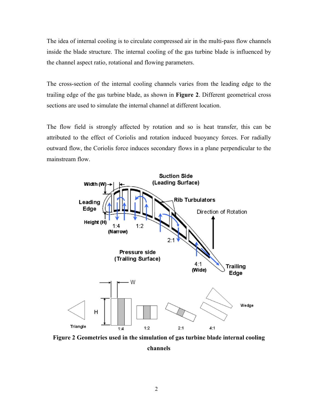The idea of internal cooling is to circulate compressed air in the multi-pass flow channels inside the blade structure. The internal cooling of the gas turbine blade is influenced by the channel aspect ratio, rotational and flowing parameters.

The cross-section of the internal cooling channels varies from the leading edge to the trailing edge of the gas turbine blade, as shown in **Figure 2**. Different geometrical cross sections are used to simulate the internal channel at different location.

The flow field is strongly affected by rotation and so is heat transfer, this can be attributed to the effect of Coriolis and rotation induced buoyancy forces. For radially outward flow, the Coriolis force induces secondary flows in a plane perpendicular to the mainstream flow.



**Figure 2 Geometries used in the simulation of gas turbine blade internal cooling** 

**channels**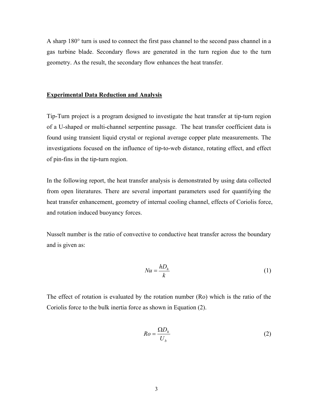A sharp 180° turn is used to connect the first pass channel to the second pass channel in a gas turbine blade. Secondary flows are generated in the turn region due to the turn geometry. As the result, the secondary flow enhances the heat transfer.

#### **Experimental Data Reduction and Analysis**

Tip-Turn project is a program designed to investigate the heat transfer at tip-turn region of a U-shaped or multi-channel serpentine passage. The heat transfer coefficient data is found using transient liquid crystal or regional average copper plate measurements. The investigations focused on the influence of tip-to-web distance, rotating effect, and effect of pin-fins in the tip-turn region.

In the following report, the heat transfer analysis is demonstrated by using data collected from open literatures. There are several important parameters used for quantifying the heat transfer enhancement, geometry of internal cooling channel, effects of Coriolis force, and rotation induced buoyancy forces.

Nusselt number is the ratio of convective to conductive heat transfer across the boundary and is given as:

$$
Nu = \frac{hD_h}{k} \tag{1}
$$

The effect of rotation is evaluated by the rotation number (Ro) which is the ratio of the Coriolis force to the bulk inertia force as shown in Equation (2).

$$
Ro = \frac{\Omega D_h}{U_b} \tag{2}
$$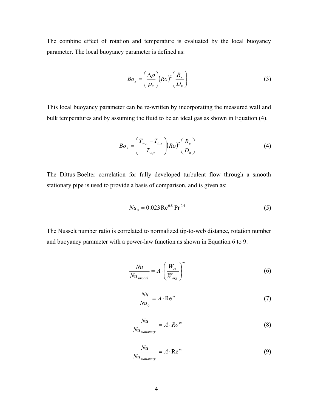The combine effect of rotation and temperature is evaluated by the local buoyancy parameter. The local buoyancy parameter is defined as:

$$
Bo_x = \left(\frac{\Delta \rho}{\rho_x}\right) (Ro)^2 \left(\frac{R_x}{D_h}\right) \tag{3}
$$

This local buoyancy parameter can be re-written by incorporating the measured wall and bulk temperatures and by assuming the fluid to be an ideal gas as shown in Equation (4).

$$
Bo_x = \left(\frac{T_{w,x} - T_{b,x}}{T_{w,x}}\right) (Ro)^2 \left(\frac{R_x}{D_h}\right) \tag{4}
$$

The Dittus-Boelter correlation for fully developed turbulent flow through a smooth stationary pipe is used to provide a basis of comparison, and is given as:

$$
Nu_0 = 0.023 \,\text{Re}^{0.8} \,\text{Pr}^{0.4} \tag{5}
$$

The Nusselt number ratio is correlated to normalized tip-to-web distance, rotation number and buoyancy parameter with a power-law function as shown in Equation 6 to 9.

$$
\frac{Nu}{Nu_{smooth}} = A \cdot \left(\frac{W_{el}}{W_{avg}}\right)^{m}
$$
\n(6)

$$
\frac{Nu}{Nu_0} = A \cdot \text{Re}^m \tag{7}
$$

$$
\frac{Nu}{Nu_{stationary}} = A \cdot Ro^{m}
$$
 (8)

$$
\frac{Nu}{Nu_{stationary}} = A \cdot \text{Re}^m \tag{9}
$$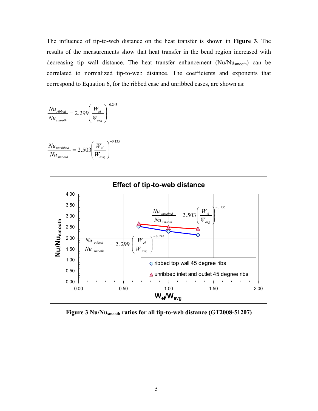The influence of tip-to-web distance on the heat transfer is shown in **Figure 3**. The results of the measurements show that heat transfer in the bend region increased with decreasing tip wall distance. The heat transfer enhancement (Nu/Nusmooth) can be correlated to normalized tip-to-web distance. The coefficients and exponents that correspond to Equation 6, for the ribbed case and unribbed cases, are shown as:

$$
\frac{Nu_{\text{ribbed}}}{Nu_{\text{smooth}}} = 2.299 \left(\frac{W_{el}}{W_{avg}}\right)^{-0.243}
$$

$$
\frac{Nu_{unribbed}}{Nu_{smooth}} = 2.503 \left(\frac{W_{el}}{W_{avg}}\right)^{-0.135}
$$



**Figure 3 Nu/Nusmooth ratios for all tip-to-web distance (GT2008-51207)**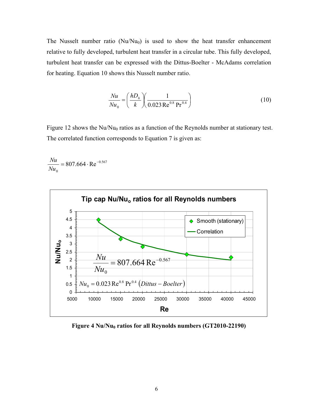The Nusselt number ratio  $(Nu/Nu_0)$  is used to show the heat transfer enhancement relative to fully developed, turbulent heat transfer in a circular tube. This fully developed, turbulent heat transfer can be expressed with the Dittus-Boelter - McAdams correlation for heating. Equation 10 shows this Nusselt number ratio.

$$
\frac{Nu}{Nu_0} = \left(\frac{hD_h}{k}\right) \left(\frac{1}{0.023 \text{ Re}^{0.8} \text{ Pr}^{0.4}}\right)
$$
(10)

Figure 12 shows the  $Nu/Nu_0$  ratios as a function of the Reynolds number at stationary test. The correlated function corresponds to Equation 7 is given as:

$$
\frac{Nu}{Nu_0} = 807.664 \cdot \text{Re}^{-0.567}
$$



Figure 4 Nu/Nu<sub>0</sub> ratios for all Reynolds numbers (GT2010-22190)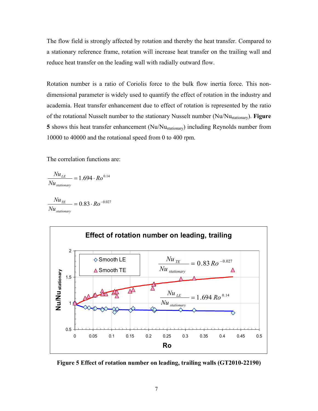The flow field is strongly affected by rotation and thereby the heat transfer. Compared to a stationary reference frame, rotation will increase heat transfer on the trailing wall and reduce heat transfer on the leading wall with radially outward flow.

Rotation number is a ratio of Coriolis force to the bulk flow inertia force. This nondimensional parameter is widely used to quantify the effect of rotation in the industry and academia. Heat transfer enhancement due to effect of rotation is represented by the ratio of the rotational Nusselt number to the stationary Nusselt number (Nu/Nustationary). **Figure 5** shows this heat transfer enhancement (Nu/Nustationary) including Reynolds number from 10000 to 40000 and the rotational speed from 0 to 400 rpm.

The correlation functions are:

$$
\frac{Nu_{LE}}{Nu_{stationary}} = 1.694 \cdot Ro^{0.14}
$$

$$
\frac{Nu_{TE}}{Nu_{stationary}} = 0.83 \cdot Ro^{-0.027}
$$



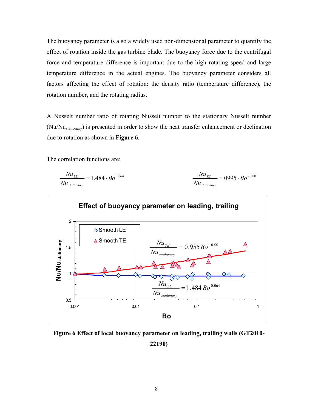The buoyancy parameter is also a widely used non-dimensional parameter to quantify the effect of rotation inside the gas turbine blade. The buoyancy force due to the centrifugal force and temperature difference is important due to the high rotating speed and large temperature difference in the actual engines. The buoyancy parameter considers all factors affecting the effect of rotation: the density ratio (temperature difference), the rotation number, and the rotating radius.

A Nusselt number ratio of rotating Nusselt number to the stationary Nusselt number (Nu/Nustationary) is presented in order to show the heat transfer enhancement or declination due to rotation as shown in **Figure 6**.

The correlation functions are:

$$
\frac{Nu_{LE}}{Nu_{stationary}} = 1.484 \cdot Bo^{0.064}
$$
\n
$$
\frac{Nu_{TE}}{Nu_{stationary}} = 0995 \cdot Bo^{-0.001}
$$



**Figure 6 Effect of local buoyancy parameter on leading, trailing walls (GT2010- 22190)**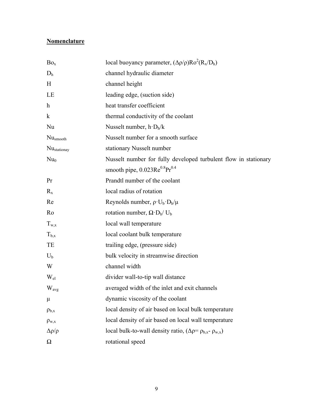## **Nomenclature**

| Bo <sub>x</sub>         | local buoyancy parameter, $(\Delta \rho / \rho)Ro^2(R_x/D_h)$      |
|-------------------------|--------------------------------------------------------------------|
| D <sub>h</sub>          | channel hydraulic diameter                                         |
| H                       | channel height                                                     |
| LE                      | leading edge, (suction side)                                       |
| $\mathbf h$             | heat transfer coefficient                                          |
| $\bf k$                 | thermal conductivity of the coolant                                |
| Nu                      | Nusselt number, $h \cdot D_h/k$                                    |
| Nu <sub>smooth</sub>    | Nusselt number for a smooth surface                                |
| Nu <sub>stationay</sub> | stationary Nusselt number                                          |
| Nu <sub>0</sub>         | Nusselt number for fully developed turbulent flow in stationary    |
|                         | smooth pipe, $0.023 \text{Re}^{0.8} \text{Pr}^{0.4}$               |
| Pr                      | Prandtl number of the coolant                                      |
| $R_{x}$                 | local radius of rotation                                           |
| Re                      | Reynolds number, $\rho \cdot U_b \cdot D_h/\mu$                    |
| Ro                      | rotation number, $\Omega \cdot D_h / U_b$                          |
| $T_{w,x}$               | local wall temperature                                             |
| $T_{b,x}$               | local coolant bulk temperature                                     |
| TE                      | trailing edge, (pressure side)                                     |
| $U_{b}$                 | bulk velocity in streamwise direction                              |
| W                       | channel width                                                      |
| $W_{el}$                | divider wall-to-tip wall distance                                  |
| W <sub>avg</sub>        | averaged width of the inlet and exit channels                      |
| $\mu$                   | dynamic viscosity of the coolant                                   |
| $\rho_{b,x}$            | local density of air based on local bulk temperature               |
| $\rho_{w,x}$            | local density of air based on local wall temperature               |
| $\Delta \rho / \rho$    | local bulk-to-wall density ratio, $(\Delta p = p_{b,x} - p_{w,x})$ |
| $\Omega$                | rotational speed                                                   |